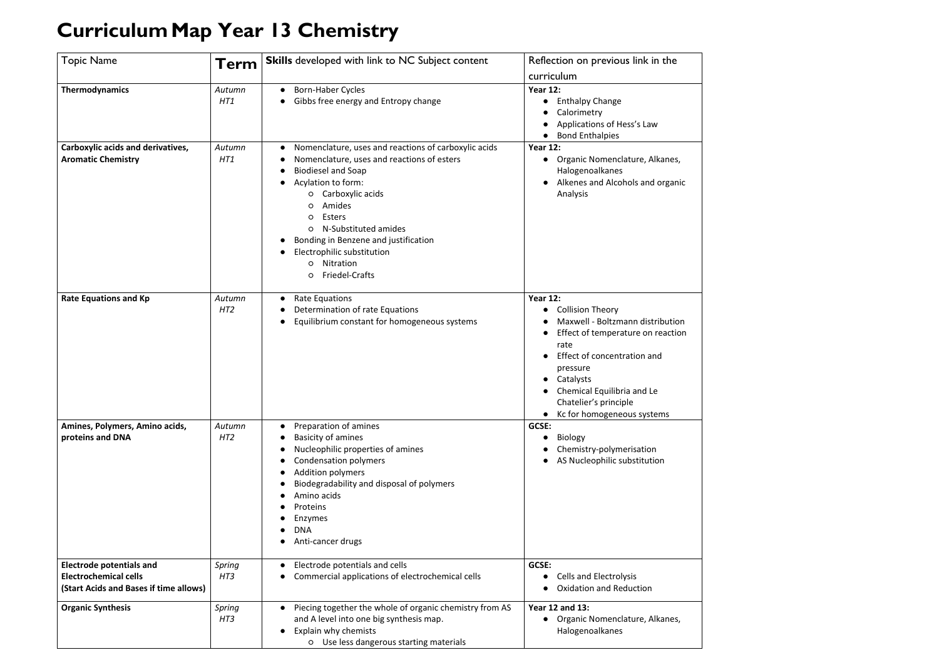## **CurriculumMap Year 13 Chemistry**

| <b>Topic Name</b>                                                                                         | <b>Term</b>               | <b>Skills</b> developed with link to NC Subject content                                                                                                                                                                                                                                                                                                                                  | Reflection on previous link in the<br>curriculum                                                                                                                                                                                                                                      |
|-----------------------------------------------------------------------------------------------------------|---------------------------|------------------------------------------------------------------------------------------------------------------------------------------------------------------------------------------------------------------------------------------------------------------------------------------------------------------------------------------------------------------------------------------|---------------------------------------------------------------------------------------------------------------------------------------------------------------------------------------------------------------------------------------------------------------------------------------|
| Thermodynamics                                                                                            | Autumn<br>HT1             | <b>Born-Haber Cycles</b><br>Gibbs free energy and Entropy change                                                                                                                                                                                                                                                                                                                         | <b>Year 12:</b><br><b>Enthalpy Change</b><br>Calorimetry<br>Applications of Hess's Law<br><b>Bond Enthalpies</b>                                                                                                                                                                      |
| Carboxylic acids and derivatives,<br><b>Aromatic Chemistry</b>                                            | Autumn<br>HT1             | Nomenclature, uses and reactions of carboxylic acids<br>$\bullet$<br>Nomenclature, uses and reactions of esters<br><b>Biodiesel and Soap</b><br>Acylation to form:<br>Carboxylic acids<br>O<br>Amides<br>O<br><b>Esters</b><br>O<br>N-Substituted amides<br>$\circ$<br>Bonding in Benzene and justification<br>Electrophilic substitution<br>Nitration<br>$\circ$<br>Friedel-Crafts<br>O | <b>Year 12:</b><br>Organic Nomenclature, Alkanes,<br>Halogenoalkanes<br>Alkenes and Alcohols and organic<br>Analysis                                                                                                                                                                  |
| <b>Rate Equations and Kp</b>                                                                              | Autumn<br>HT <sub>2</sub> | <b>Rate Equations</b><br>$\bullet$<br>Determination of rate Equations<br>Equilibrium constant for homogeneous systems                                                                                                                                                                                                                                                                    | <b>Year 12:</b><br><b>Collision Theory</b><br>Maxwell - Boltzmann distribution<br>Effect of temperature on reaction<br>rate<br>Effect of concentration and<br>pressure<br>Catalysts<br>Chemical Equilibria and Le<br>Chatelier's principle<br>Kc for homogeneous systems<br>$\bullet$ |
| Amines, Polymers, Amino acids,<br>proteins and DNA                                                        | Autumn<br>HT2             | Preparation of amines<br>$\bullet$<br><b>Basicity of amines</b><br>Nucleophilic properties of amines<br><b>Condensation polymers</b><br>Addition polymers<br>Biodegradability and disposal of polymers<br>Amino acids<br>Proteins<br>Enzymes<br><b>DNA</b><br>Anti-cancer drugs                                                                                                          | GCSE:<br><b>Biology</b><br>Chemistry-polymerisation<br>AS Nucleophilic substitution                                                                                                                                                                                                   |
| <b>Electrode potentials and</b><br><b>Electrochemical cells</b><br>(Start Acids and Bases if time allows) | Spring<br>HT3             | Electrode potentials and cells<br>$\bullet$<br>Commercial applications of electrochemical cells                                                                                                                                                                                                                                                                                          | GCSE:<br><b>Cells and Electrolysis</b><br><b>Oxidation and Reduction</b>                                                                                                                                                                                                              |
| <b>Organic Synthesis</b>                                                                                  | Spring<br>HT3             | Piecing together the whole of organic chemistry from AS<br>$\bullet$<br>and A level into one big synthesis map.<br>Explain why chemists<br>$\bullet$<br>O Use less dangerous starting materials                                                                                                                                                                                          | <b>Year 12 and 13:</b><br>Organic Nomenclature, Alkanes,<br>Halogenoalkanes                                                                                                                                                                                                           |